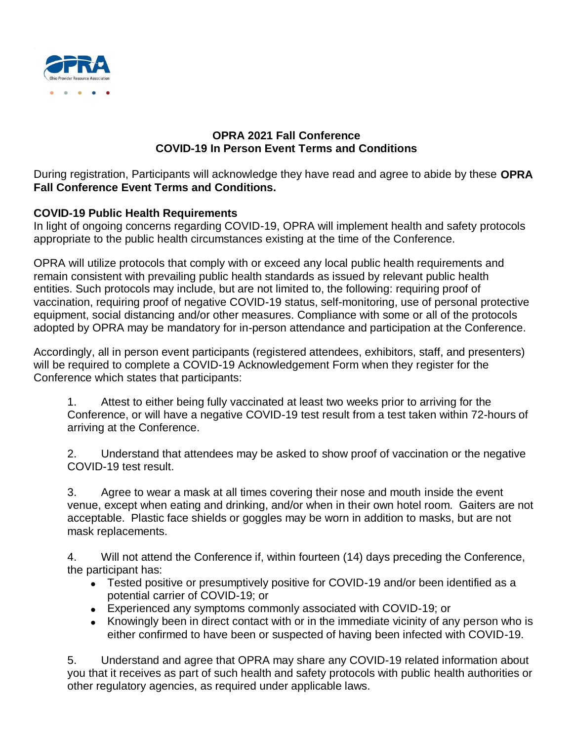

## **OPRA 2021 Fall Conference COVID-19 In Person Event Terms and Conditions**

During registration, Participants will acknowledge they have read and agree to abide by these **[OPRA](https://www.ancor.org/ancor-events-code-conduct) Fall Conference Event Terms and Conditions.**

## **COVID-19 Public Health Requirements**

In light of ongoing concerns regarding COVID-19, OPRA will implement health and safety protocols appropriate to the public health circumstances existing at the time of the Conference.

OPRA will utilize protocols that comply with or exceed any local public health requirements and remain consistent with prevailing public health standards as issued by relevant public health entities. Such protocols may include, but are not limited to, the following: requiring proof of vaccination, requiring proof of negative COVID-19 status, self-monitoring, use of personal protective equipment, social distancing and/or other measures. Compliance with some or all of the protocols adopted by OPRA may be mandatory for in-person attendance and participation at the Conference.

Accordingly, all in person event participants (registered attendees, exhibitors, staff, and presenters) will be required to complete a COVID-19 Acknowledgement Form when they register for the Conference which states that participants:

1. Attest to either being fully vaccinated at least two weeks prior to arriving for the Conference, or will have a negative COVID-19 test result from a test taken within 72-hours of arriving at the Conference.

2. Understand that attendees may be asked to show proof of vaccination or the negative COVID-19 test result.

3. Agree to wear a mask at all times covering their nose and mouth inside the event venue, except when eating and drinking, and/or when in their own hotel room. Gaiters are not acceptable. Plastic face shields or goggles may be worn in addition to masks, but are not mask replacements.

4. Will not attend the Conference if, within fourteen (14) days preceding the Conference, the participant has:

- Tested positive or presumptively positive for COVID-19 and/or been identified as a potential carrier of COVID-19; or
- Experienced any symptoms commonly associated with COVID-19; or
- Knowingly been in direct contact with or in the immediate vicinity of any person who is either confirmed to have been or suspected of having been infected with COVID-19.

5. Understand and agree that OPRA may share any COVID-19 related information about you that it receives as part of such health and safety protocols with public health authorities or other regulatory agencies, as required under applicable laws.